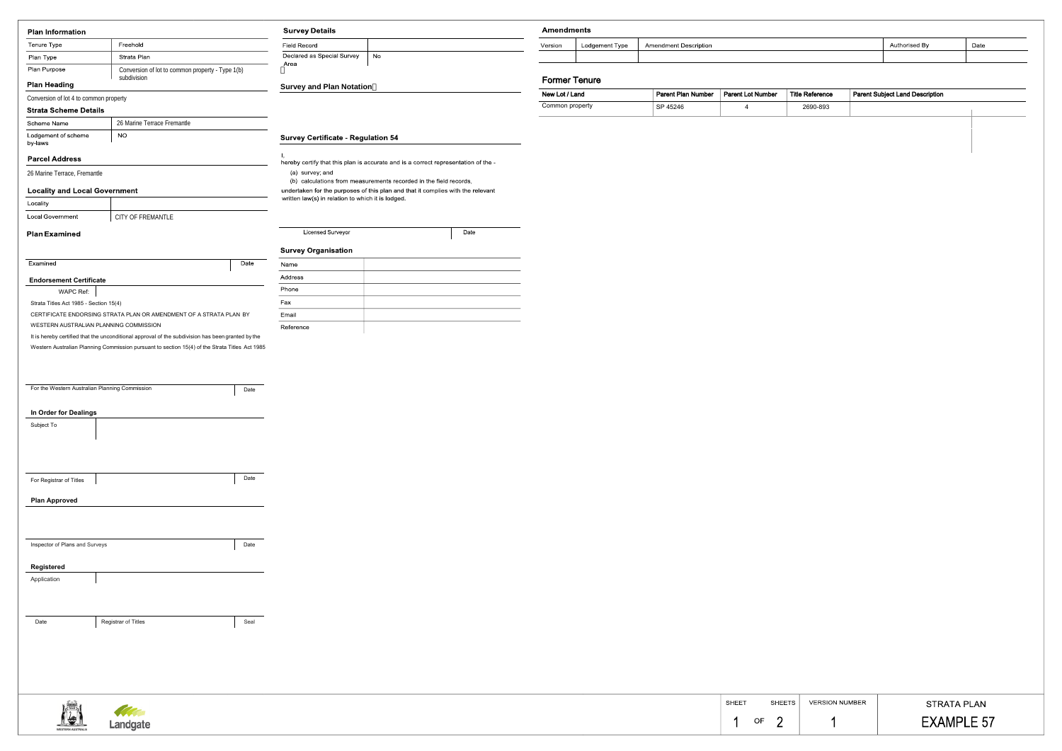| <b>Plan Information</b>                        |                                                                                                                                                                                                     | <b>Survey Details</b>                     |                                                   | <b>Amendments</b>                                                                  |                    |     |
|------------------------------------------------|-----------------------------------------------------------------------------------------------------------------------------------------------------------------------------------------------------|-------------------------------------------|---------------------------------------------------|------------------------------------------------------------------------------------|--------------------|-----|
| Tenure Type                                    | Freehold                                                                                                                                                                                            |                                           | <b>Field Record</b>                               |                                                                                    | Version            | Lod |
| Plan Type                                      | Strata Plan                                                                                                                                                                                         |                                           | Declared as Special Survey                        | No                                                                                 |                    |     |
| Plan Purpose                                   | Conversion of lot to common property - Type 1(b)                                                                                                                                                    |                                           | Area                                              |                                                                                    |                    |     |
| <b>Plan Heading</b>                            | subdivision                                                                                                                                                                                         |                                           | <b>Survey and Plan Notation</b>                   |                                                                                    | <b>Former Tenu</b> |     |
| Conversion of lot 4 to common property         |                                                                                                                                                                                                     |                                           |                                                   |                                                                                    | New Lot / Land     |     |
| <b>Strata Scheme Details</b>                   |                                                                                                                                                                                                     |                                           |                                                   |                                                                                    | Common property    |     |
| Scheme Name                                    | 26 Marine Terrace Fremantle                                                                                                                                                                         |                                           |                                                   |                                                                                    |                    |     |
| Lodgement of scheme<br><b>NO</b><br>by-laws    |                                                                                                                                                                                                     | <b>Survey Certificate - Regulation 54</b> |                                                   |                                                                                    |                    |     |
| <b>Parcel Address</b>                          |                                                                                                                                                                                                     |                                           |                                                   | hereby certify that this plan is accurate and is a correct representation of the - |                    |     |
| 26 Marine Terrace, Fremantle                   |                                                                                                                                                                                                     |                                           | (a) survey; and                                   |                                                                                    |                    |     |
|                                                |                                                                                                                                                                                                     |                                           |                                                   | (b) calculations from measurements recorded in the field records,                  |                    |     |
| <b>Locality and Local Government</b>           |                                                                                                                                                                                                     |                                           | written law(s) in relation to which it is lodged. | undertaken for the purposes of this plan and that it complies with the relevant    |                    |     |
| Locality                                       |                                                                                                                                                                                                     |                                           |                                                   |                                                                                    |                    |     |
| Local Government                               | CITY OF FREMANTLE                                                                                                                                                                                   |                                           |                                                   |                                                                                    |                    |     |
| <b>Plan Examined</b>                           |                                                                                                                                                                                                     |                                           | Licensed Surveyor                                 | Date                                                                               |                    |     |
|                                                |                                                                                                                                                                                                     |                                           | <b>Survey Organisation</b>                        |                                                                                    |                    |     |
| Examined                                       |                                                                                                                                                                                                     | Date                                      | Name                                              |                                                                                    |                    |     |
| <b>Endorsement Certificate</b>                 |                                                                                                                                                                                                     |                                           | Address                                           |                                                                                    |                    |     |
| WAPC Ref:                                      |                                                                                                                                                                                                     |                                           | Phone                                             |                                                                                    |                    |     |
| Strata Titles Act 1985 - Section 15(4)         |                                                                                                                                                                                                     |                                           | Fax                                               |                                                                                    |                    |     |
|                                                | CERTIFICATE ENDORSING STRATA PLAN OR AMENDMENT OF A STRATA PLAN BY                                                                                                                                  |                                           | Email                                             |                                                                                    |                    |     |
| WESTERN AUSTRALIAN PLANNING COMMISSION         |                                                                                                                                                                                                     |                                           | Reference                                         |                                                                                    |                    |     |
|                                                | It is hereby certified that the unconditional approval of the subdivision has been granted by the<br>Western Australian Planning Commission pursuant to section 15(4) of the Strata Titles Act 1985 |                                           |                                                   |                                                                                    |                    |     |
|                                                |                                                                                                                                                                                                     |                                           |                                                   |                                                                                    |                    |     |
|                                                |                                                                                                                                                                                                     |                                           |                                                   |                                                                                    |                    |     |
|                                                |                                                                                                                                                                                                     |                                           |                                                   |                                                                                    |                    |     |
|                                                |                                                                                                                                                                                                     |                                           |                                                   |                                                                                    |                    |     |
| For the Western Australian Planning Commission |                                                                                                                                                                                                     | Date                                      |                                                   |                                                                                    |                    |     |
| In Order for Dealings                          |                                                                                                                                                                                                     |                                           |                                                   |                                                                                    |                    |     |
| Subject To                                     |                                                                                                                                                                                                     |                                           |                                                   |                                                                                    |                    |     |
|                                                |                                                                                                                                                                                                     |                                           |                                                   |                                                                                    |                    |     |
|                                                |                                                                                                                                                                                                     |                                           |                                                   |                                                                                    |                    |     |
|                                                |                                                                                                                                                                                                     |                                           |                                                   |                                                                                    |                    |     |
| For Registrar of Titles                        |                                                                                                                                                                                                     | Date                                      |                                                   |                                                                                    |                    |     |
| <b>Plan Approved</b>                           |                                                                                                                                                                                                     |                                           |                                                   |                                                                                    |                    |     |
|                                                |                                                                                                                                                                                                     |                                           |                                                   |                                                                                    |                    |     |
|                                                |                                                                                                                                                                                                     |                                           |                                                   |                                                                                    |                    |     |
|                                                |                                                                                                                                                                                                     |                                           |                                                   |                                                                                    |                    |     |
| Inspector of Plans and Surveys                 |                                                                                                                                                                                                     | Date                                      |                                                   |                                                                                    |                    |     |
| <b>Registered</b>                              |                                                                                                                                                                                                     |                                           |                                                   |                                                                                    |                    |     |
| Application                                    |                                                                                                                                                                                                     |                                           |                                                   |                                                                                    |                    |     |
|                                                |                                                                                                                                                                                                     |                                           |                                                   |                                                                                    |                    |     |
|                                                |                                                                                                                                                                                                     |                                           |                                                   |                                                                                    |                    |     |
| Date                                           | Registrar of Titles                                                                                                                                                                                 | Seal                                      |                                                   |                                                                                    |                    |     |





| ments |                |                              |               |      |  |  |
|-------|----------------|------------------------------|---------------|------|--|--|
|       | Lodgement Type | <b>Amendment Description</b> | Authorised By | Date |  |  |
|       |                |                              |               |      |  |  |

## er Tenure

| New Lot / Land  | <b>Parent Plan Number</b> | <b>Parent Lot Number</b> | <b>Title Reference</b> | <b>Parent Subject Land Description</b> |
|-----------------|---------------------------|--------------------------|------------------------|----------------------------------------|
| Common property | SP 45246                  |                          | 2690-893               |                                        |

| <b>SHEET</b> | SHEETS  | <b>VERSION NUMBER</b> | <b>STRATA PLAN</b>           |
|--------------|---------|-----------------------|------------------------------|
|              | OF<br>_ |                       | LE 57<br><b>EXAMPL</b><br>__ |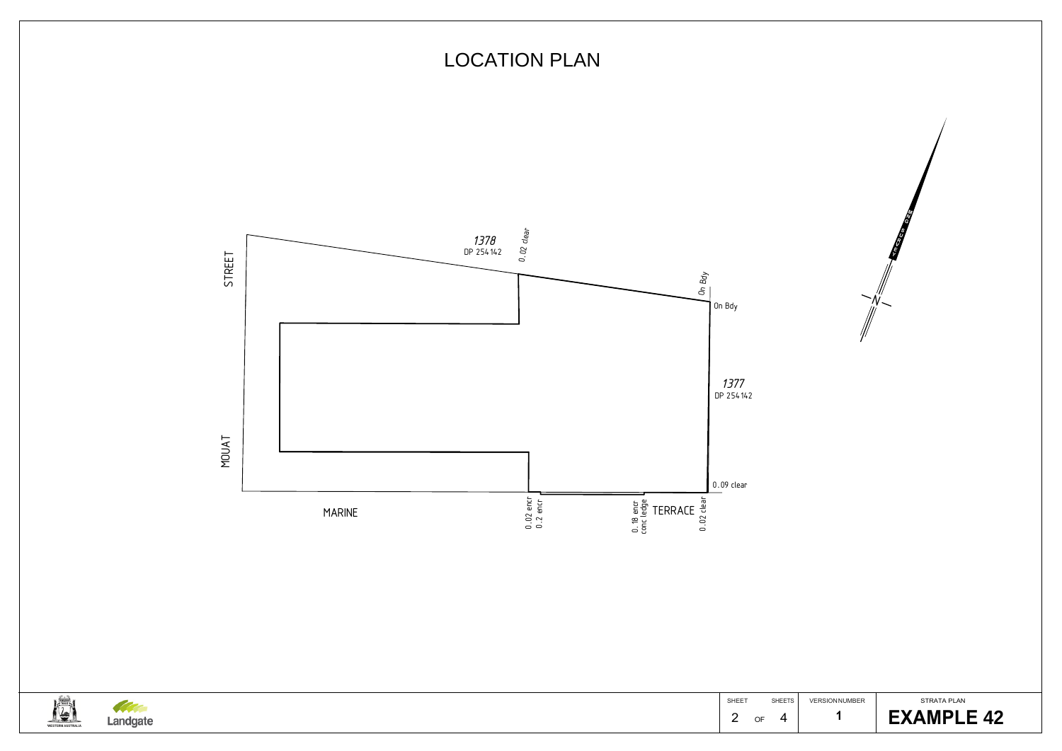



WESTERN AUSTRALIA Landgate SHEET SHEETS 2 of 4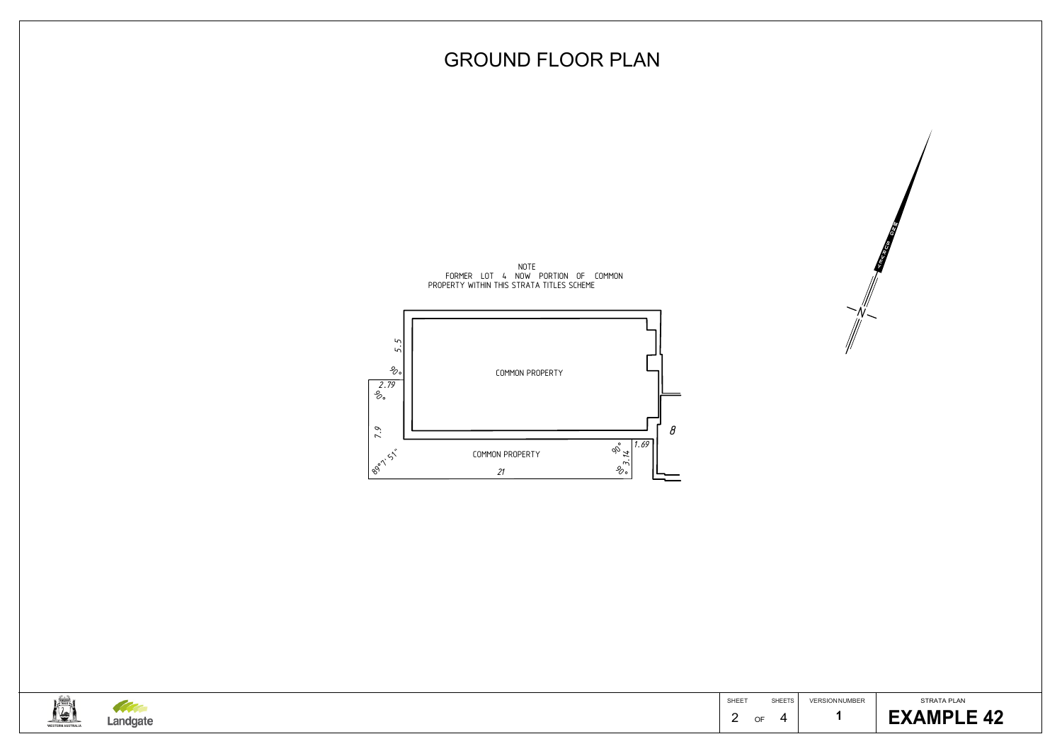

VERSION NUMBER



## GROUND FLOOR PLAN